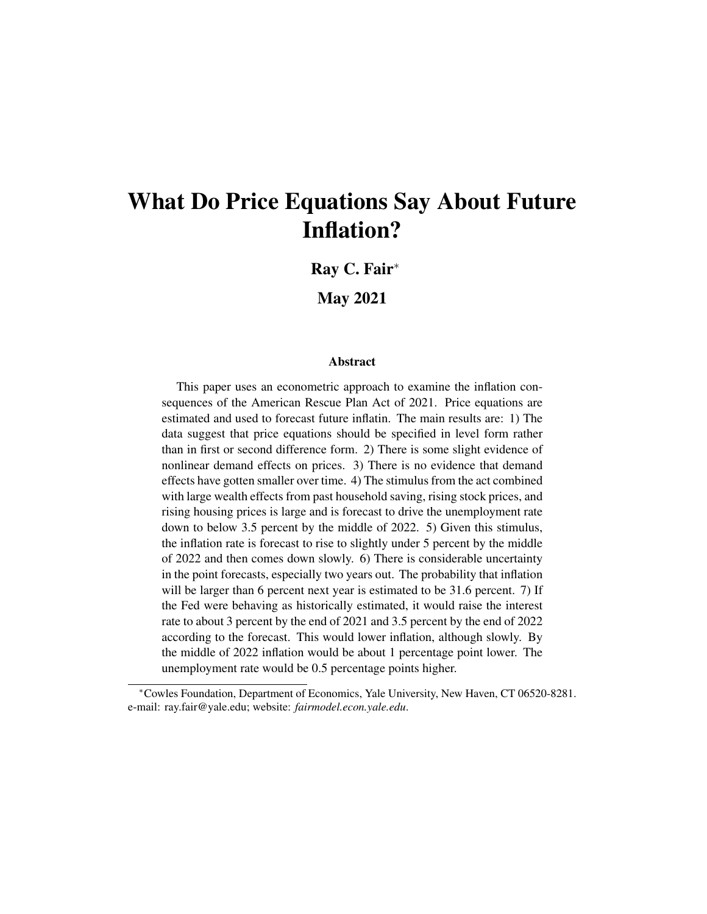# What Do Price Equations Say About Future Inflation?

Ray C. Fair<sup>∗</sup>

May 2021

#### Abstract

This paper uses an econometric approach to examine the inflation consequences of the American Rescue Plan Act of 2021. Price equations are estimated and used to forecast future inflatin. The main results are: 1) The data suggest that price equations should be specified in level form rather than in first or second difference form. 2) There is some slight evidence of nonlinear demand effects on prices. 3) There is no evidence that demand effects have gotten smaller over time. 4) The stimulus from the act combined with large wealth effects from past household saving, rising stock prices, and rising housing prices is large and is forecast to drive the unemployment rate down to below 3.5 percent by the middle of 2022. 5) Given this stimulus, the inflation rate is forecast to rise to slightly under 5 percent by the middle of 2022 and then comes down slowly. 6) There is considerable uncertainty in the point forecasts, especially two years out. The probability that inflation will be larger than 6 percent next year is estimated to be 31.6 percent. 7) If the Fed were behaving as historically estimated, it would raise the interest rate to about 3 percent by the end of 2021 and 3.5 percent by the end of 2022 according to the forecast. This would lower inflation, although slowly. By the middle of 2022 inflation would be about 1 percentage point lower. The unemployment rate would be 0.5 percentage points higher.

<sup>∗</sup>Cowles Foundation, Department of Economics, Yale University, New Haven, CT 06520-8281. e-mail: ray.fair@yale.edu; website: *fairmodel.econ.yale.edu*.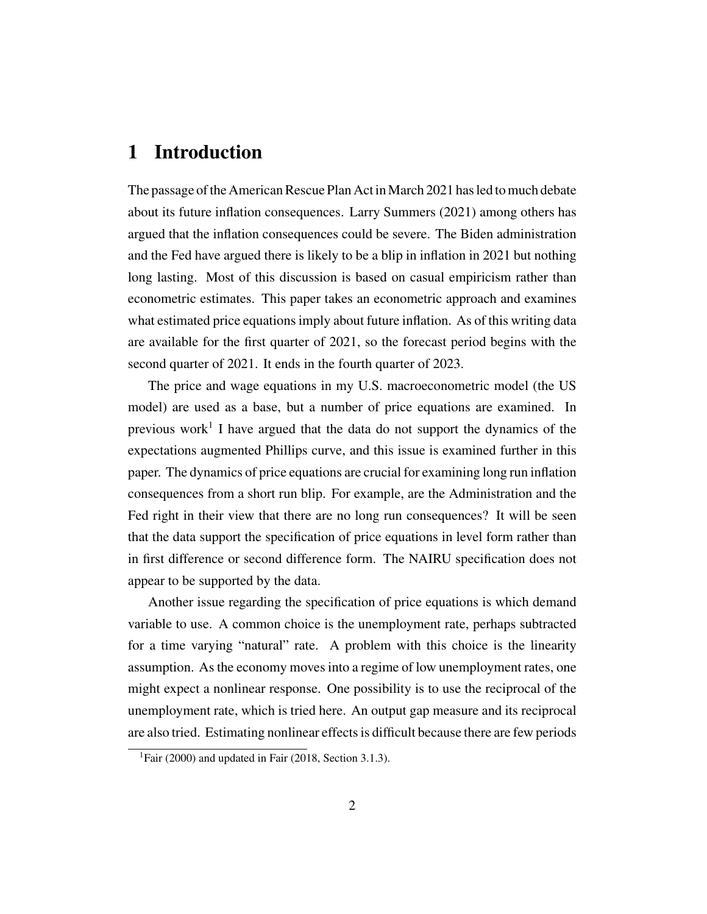# 1 Introduction

The passage of the American Rescue Plan Act inMarch 2021 has led to much debate about its future inflation consequences. Larry Summers (2021) among others has argued that the inflation consequences could be severe. The Biden administration and the Fed have argued there is likely to be a blip in inflation in 2021 but nothing long lasting. Most of this discussion is based on casual empiricism rather than econometric estimates. This paper takes an econometric approach and examines what estimated price equations imply about future inflation. As of this writing data are available for the first quarter of 2021, so the forecast period begins with the second quarter of 2021. It ends in the fourth quarter of 2023.

The price and wage equations in my U.S. macroeconometric model (the US model) are used as a base, but a number of price equations are examined. In previous work<sup>1</sup> I have argued that the data do not support the dynamics of the expectations augmented Phillips curve, and this issue is examined further in this paper. The dynamics of price equations are crucial for examining long run inflation consequences from a short run blip. For example, are the Administration and the Fed right in their view that there are no long run consequences? It will be seen that the data support the specification of price equations in level form rather than in first difference or second difference form. The NAIRU specification does not appear to be supported by the data.

Another issue regarding the specification of price equations is which demand variable to use. A common choice is the unemployment rate, perhaps subtracted for a time varying "natural" rate. A problem with this choice is the linearity assumption. As the economy moves into a regime of low unemployment rates, one might expect a nonlinear response. One possibility is to use the reciprocal of the unemployment rate, which is tried here. An output gap measure and its reciprocal are also tried. Estimating nonlinear effects is difficult because there are few periods

<sup>&</sup>lt;sup>1</sup>Fair (2000) and updated in Fair (2018, Section 3.1.3).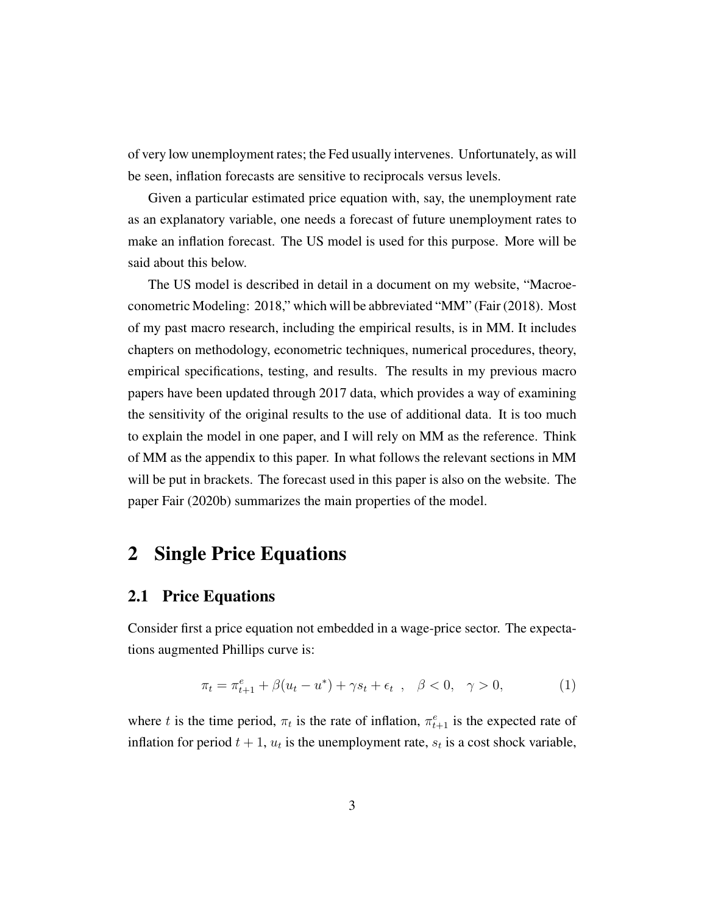of very low unemployment rates; the Fed usually intervenes. Unfortunately, as will be seen, inflation forecasts are sensitive to reciprocals versus levels.

Given a particular estimated price equation with, say, the unemployment rate as an explanatory variable, one needs a forecast of future unemployment rates to make an inflation forecast. The US model is used for this purpose. More will be said about this below.

The US model is described in detail in a document on my website, "Macroeconometric Modeling: 2018," which will be abbreviated "MM" (Fair (2018). Most of my past macro research, including the empirical results, is in MM. It includes chapters on methodology, econometric techniques, numerical procedures, theory, empirical specifications, testing, and results. The results in my previous macro papers have been updated through 2017 data, which provides a way of examining the sensitivity of the original results to the use of additional data. It is too much to explain the model in one paper, and I will rely on MM as the reference. Think of MM as the appendix to this paper. In what follows the relevant sections in MM will be put in brackets. The forecast used in this paper is also on the website. The paper Fair (2020b) summarizes the main properties of the model.

# 2 Single Price Equations

#### 2.1 Price Equations

Consider first a price equation not embedded in a wage-price sector. The expectations augmented Phillips curve is:

$$
\pi_t = \pi_{t+1}^e + \beta (u_t - u^*) + \gamma s_t + \epsilon_t , \quad \beta < 0, \quad \gamma > 0,
$$
\n(1)

where t is the time period,  $\pi_t$  is the rate of inflation,  $\pi_{t+1}^e$  is the expected rate of inflation for period  $t + 1$ ,  $u_t$  is the unemployment rate,  $s_t$  is a cost shock variable,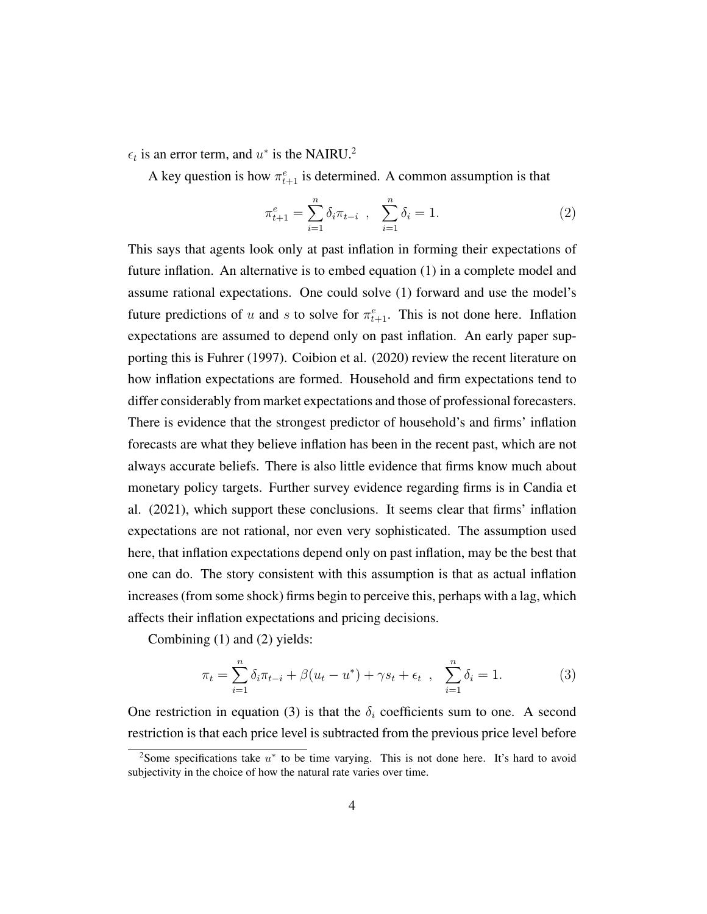$\epsilon_t$  is an error term, and  $u^*$  is the NAIRU.<sup>2</sup>

A key question is how  $\pi_{t+1}^e$  is determined. A common assumption is that

$$
\pi_{t+1}^e = \sum_{i=1}^n \delta_i \pi_{t-i} \quad , \quad \sum_{i=1}^n \delta_i = 1. \tag{2}
$$

This says that agents look only at past inflation in forming their expectations of future inflation. An alternative is to embed equation (1) in a complete model and assume rational expectations. One could solve (1) forward and use the model's future predictions of u and s to solve for  $\pi_{t+1}^e$ . This is not done here. Inflation expectations are assumed to depend only on past inflation. An early paper supporting this is Fuhrer (1997). Coibion et al. (2020) review the recent literature on how inflation expectations are formed. Household and firm expectations tend to differ considerably from market expectations and those of professional forecasters. There is evidence that the strongest predictor of household's and firms' inflation forecasts are what they believe inflation has been in the recent past, which are not always accurate beliefs. There is also little evidence that firms know much about monetary policy targets. Further survey evidence regarding firms is in Candia et al. (2021), which support these conclusions. It seems clear that firms' inflation expectations are not rational, nor even very sophisticated. The assumption used here, that inflation expectations depend only on past inflation, may be the best that one can do. The story consistent with this assumption is that as actual inflation increases (from some shock) firms begin to perceive this, perhaps with a lag, which affects their inflation expectations and pricing decisions.

Combining (1) and (2) yields:

$$
\pi_t = \sum_{i=1}^n \delta_i \pi_{t-i} + \beta (u_t - u^*) + \gamma s_t + \epsilon_t , \quad \sum_{i=1}^n \delta_i = 1.
$$
 (3)

One restriction in equation (3) is that the  $\delta_i$  coefficients sum to one. A second restriction is that each price level is subtracted from the previous price level before

<sup>&</sup>lt;sup>2</sup>Some specifications take  $u^*$  to be time varying. This is not done here. It's hard to avoid subjectivity in the choice of how the natural rate varies over time.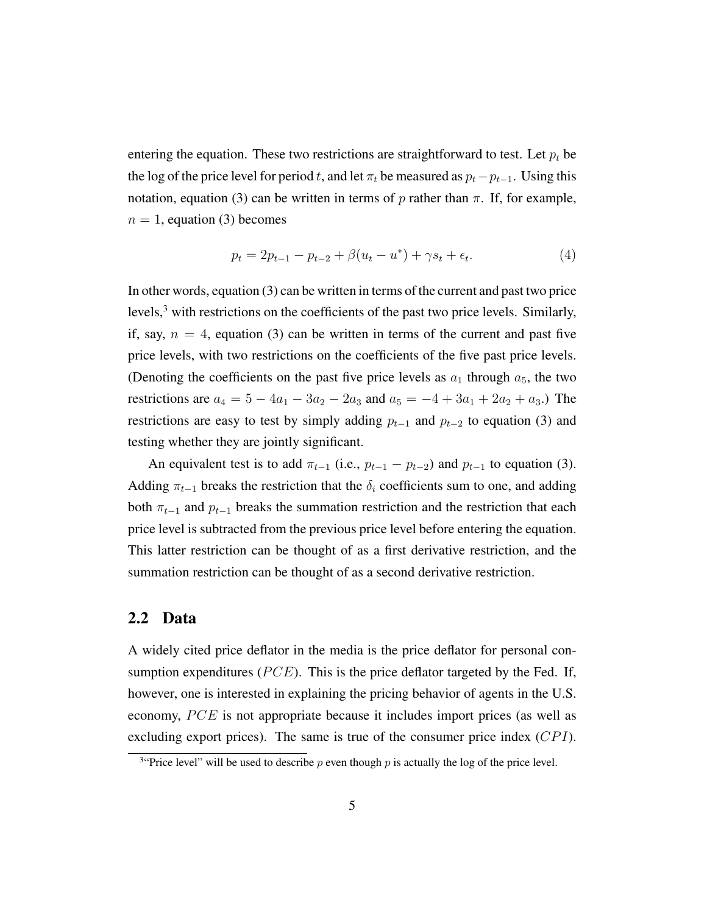entering the equation. These two restrictions are straightforward to test. Let  $p_t$  be the log of the price level for period t, and let  $\pi_t$  be measured as  $p_t-p_{t-1}$ . Using this notation, equation (3) can be written in terms of p rather than  $\pi$ . If, for example,  $n = 1$ , equation (3) becomes

$$
p_t = 2p_{t-1} - p_{t-2} + \beta(u_t - u^*) + \gamma s_t + \epsilon_t.
$$
\n(4)

In other words, equation (3) can be written in terms of the current and past two price levels, $3$  with restrictions on the coefficients of the past two price levels. Similarly, if, say,  $n = 4$ , equation (3) can be written in terms of the current and past five price levels, with two restrictions on the coefficients of the five past price levels. (Denoting the coefficients on the past five price levels as  $a_1$  through  $a_5$ , the two restrictions are  $a_4 = 5 - 4a_1 - 3a_2 - 2a_3$  and  $a_5 = -4 + 3a_1 + 2a_2 + a_3$ .) The restrictions are easy to test by simply adding  $p_{t-1}$  and  $p_{t-2}$  to equation (3) and testing whether they are jointly significant.

An equivalent test is to add  $\pi_{t-1}$  (i.e.,  $p_{t-1} - p_{t-2}$ ) and  $p_{t-1}$  to equation (3). Adding  $\pi_{t-1}$  breaks the restriction that the  $\delta_i$  coefficients sum to one, and adding both  $\pi_{t-1}$  and  $p_{t-1}$  breaks the summation restriction and the restriction that each price level is subtracted from the previous price level before entering the equation. This latter restriction can be thought of as a first derivative restriction, and the summation restriction can be thought of as a second derivative restriction.

#### 2.2 Data

A widely cited price deflator in the media is the price deflator for personal consumption expenditures ( $PCE$ ). This is the price deflator targeted by the Fed. If, however, one is interested in explaining the pricing behavior of agents in the U.S. economy,  $PCE$  is not appropriate because it includes import prices (as well as excluding export prices). The same is true of the consumer price index  $(CPI)$ .

<sup>&</sup>lt;sup>3</sup> "Price level" will be used to describe p even though p is actually the log of the price level.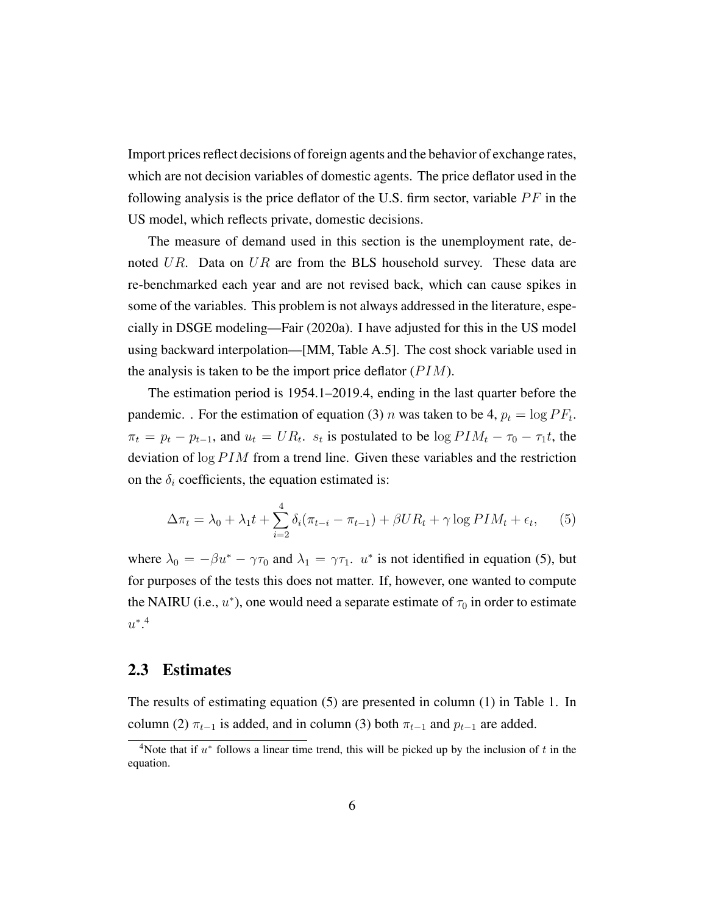Import prices reflect decisions of foreign agents and the behavior of exchange rates, which are not decision variables of domestic agents. The price deflator used in the following analysis is the price deflator of the U.S. firm sector, variable  $PF$  in the US model, which reflects private, domestic decisions.

The measure of demand used in this section is the unemployment rate, denoted  $UR$ . Data on  $UR$  are from the BLS household survey. These data are re-benchmarked each year and are not revised back, which can cause spikes in some of the variables. This problem is not always addressed in the literature, especially in DSGE modeling—Fair (2020a). I have adjusted for this in the US model using backward interpolation—[MM, Table A.5]. The cost shock variable used in the analysis is taken to be the import price deflator  $(PIM)$ .

The estimation period is 1954.1–2019.4, ending in the last quarter before the pandemic. . For the estimation of equation (3) *n* was taken to be 4,  $p_t = \log PF_t$ .  $\pi_t = p_t - p_{t-1}$ , and  $u_t = UR_t$ .  $s_t$  is postulated to be  $\log PIM_t - \tau_0 - \tau_1 t$ , the deviation of  $\log P I M$  from a trend line. Given these variables and the restriction on the  $\delta_i$  coefficients, the equation estimated is:

$$
\Delta \pi_t = \lambda_0 + \lambda_1 t + \sum_{i=2}^4 \delta_i (\pi_{t-i} - \pi_{t-1}) + \beta U R_t + \gamma \log P I M_t + \epsilon_t, \tag{5}
$$

where  $\lambda_0 = -\beta u^* - \gamma \tau_0$  and  $\lambda_1 = \gamma \tau_1$ .  $u^*$  is not identified in equation (5), but for purposes of the tests this does not matter. If, however, one wanted to compute the NAIRU (i.e.,  $u^*$ ), one would need a separate estimate of  $\tau_0$  in order to estimate  $u^*$ .<sup>4</sup>

#### 2.3 Estimates

The results of estimating equation (5) are presented in column (1) in Table 1. In column (2)  $\pi_{t-1}$  is added, and in column (3) both  $\pi_{t-1}$  and  $p_{t-1}$  are added.

<sup>&</sup>lt;sup>4</sup>Note that if  $u^*$  follows a linear time trend, this will be picked up by the inclusion of t in the equation.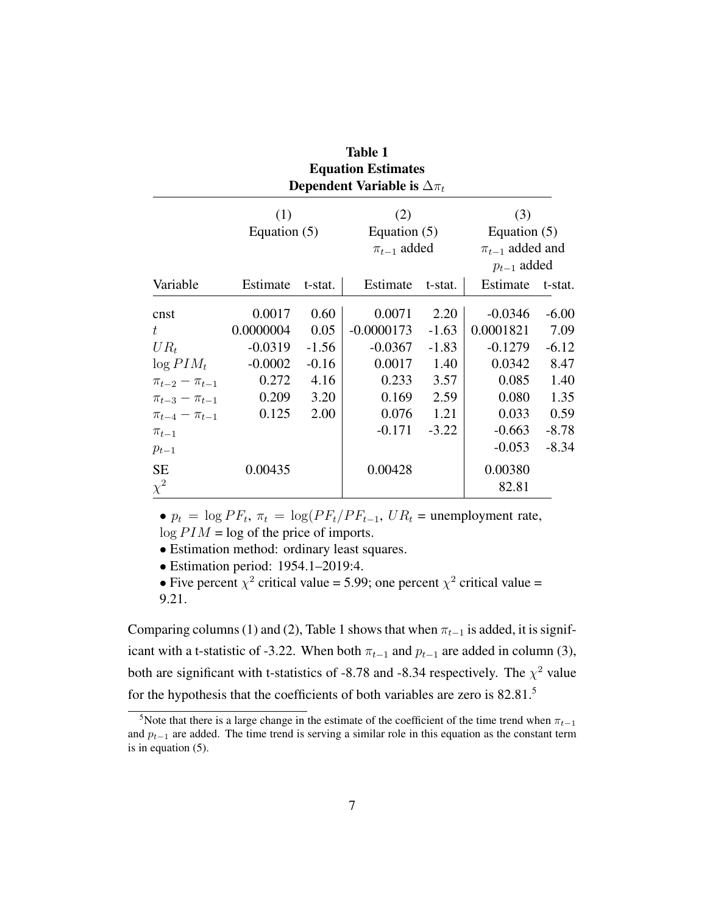|                         |                |         | <b>Table 1</b><br><b>Equation Estimates</b><br><b>Dependent Variable is </b> $\Delta \pi_t$ |         |                       |                |  |
|-------------------------|----------------|---------|---------------------------------------------------------------------------------------------|---------|-----------------------|----------------|--|
|                         | (1)            |         | (2)                                                                                         |         | (3)                   |                |  |
|                         | Equation $(5)$ |         | Equation $(5)$                                                                              |         |                       | Equation $(5)$ |  |
|                         |                |         | $\pi_{t-1}$ added                                                                           |         | $\pi_{t-1}$ added and |                |  |
|                         |                |         |                                                                                             |         | $p_{t-1}$ added       |                |  |
| Variable                | Estimate       | t-stat. | Estimate                                                                                    | t-stat. | Estimate              | t-stat.        |  |
| cnst                    | 0.0017         | 0.60    | 0.0071                                                                                      | 2.20    | $-0.0346$             | $-6.00$        |  |
| $t_{\cdot}$             | 0.0000004      | 0.05    | $-0.0000173$                                                                                | $-1.63$ | 0.0001821             | 7.09           |  |
| $UR_t$                  | $-0.0319$      | $-1.56$ | $-0.0367$                                                                                   | $-1.83$ | $-0.1279$             | $-6.12$        |  |
| $\log PIM_t$            | $-0.0002$      | $-0.16$ | 0.0017                                                                                      | 1.40    | 0.0342                | 8.47           |  |
| $\pi_{t-2} - \pi_{t-1}$ | 0.272          | 4.16    | 0.233                                                                                       | 3.57    | 0.085                 | 1.40           |  |
| $\pi_{t-3} - \pi_{t-1}$ | 0.209          | 3.20    | 0.169                                                                                       | 2.59    | 0.080                 | 1.35           |  |
| $\pi_{t-4} - \pi_{t-1}$ | 0.125          | 2.00    | 0.076                                                                                       | 1.21    | 0.033                 | 0.59           |  |
| $\pi_{t-1}$             |                |         | $-0.171$                                                                                    | $-3.22$ | $-0.663$              | $-8.78$        |  |
| $p_{t-1}$               |                |         |                                                                                             |         | $-0.053$              | $-8.34$        |  |
| <b>SE</b>               | 0.00435        |         | 0.00428                                                                                     |         | 0.00380               |                |  |
| $\chi^2$                |                |         |                                                                                             |         | 82.81                 |                |  |

•  $p_t = \log PF_t$ ,  $\pi_t = \log(PF_t/PF_{t-1}, UR_t$  = unemployment rate,

 $log P I M = log of the price of imports.$ 

- Estimation method: ordinary least squares.
- Estimation period: 1954.1–2019:4.
- Five percent  $\chi^2$  critical value = 5.99; one percent  $\chi^2$  critical value = 9.21.

Comparing columns (1) and (2), Table 1 shows that when  $\pi_{t-1}$  is added, it is significant with a t-statistic of -3.22. When both  $\pi_{t-1}$  and  $p_{t-1}$  are added in column (3), both are significant with t-statistics of -8.78 and -8.34 respectively. The  $\chi^2$  value for the hypothesis that the coefficients of both variables are zero is 82.81.<sup>5</sup>

<sup>&</sup>lt;sup>5</sup>Note that there is a large change in the estimate of the coefficient of the time trend when  $\pi_{t-1}$ and  $p_{t-1}$  are added. The time trend is serving a similar role in this equation as the constant term is in equation (5).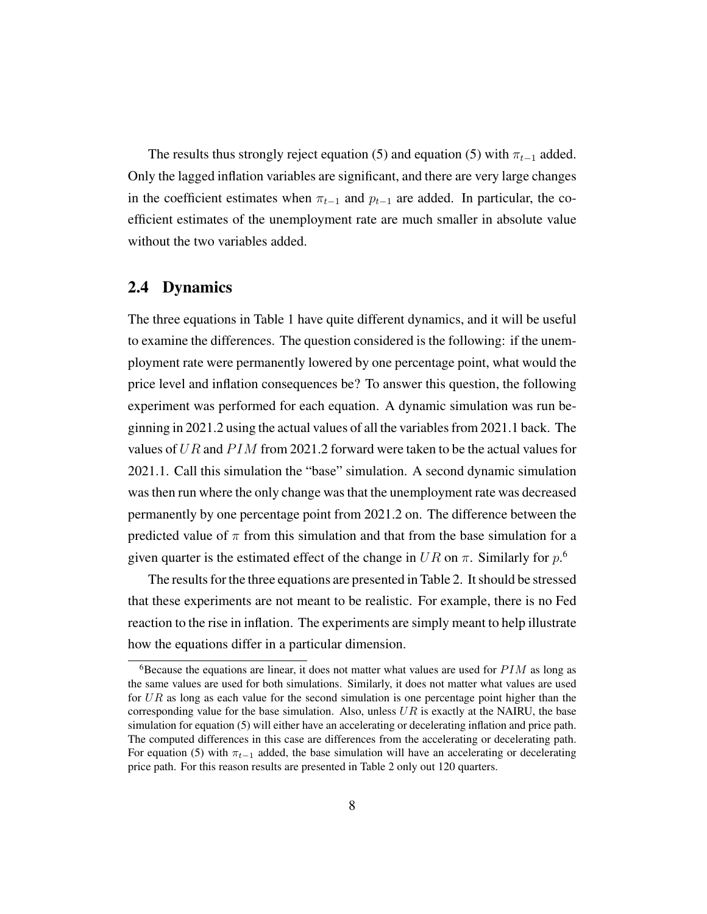The results thus strongly reject equation (5) and equation (5) with  $\pi_{t-1}$  added. Only the lagged inflation variables are significant, and there are very large changes in the coefficient estimates when  $\pi_{t-1}$  and  $p_{t-1}$  are added. In particular, the coefficient estimates of the unemployment rate are much smaller in absolute value without the two variables added.

#### 2.4 Dynamics

The three equations in Table 1 have quite different dynamics, and it will be useful to examine the differences. The question considered is the following: if the unemployment rate were permanently lowered by one percentage point, what would the price level and inflation consequences be? To answer this question, the following experiment was performed for each equation. A dynamic simulation was run beginning in 2021.2 using the actual values of all the variables from 2021.1 back. The values of  $UR$  and  $PIM$  from 2021.2 forward were taken to be the actual values for 2021.1. Call this simulation the "base" simulation. A second dynamic simulation was then run where the only change was that the unemployment rate was decreased permanently by one percentage point from 2021.2 on. The difference between the predicted value of  $\pi$  from this simulation and that from the base simulation for a given quarter is the estimated effect of the change in  $UR$  on  $\pi$ . Similarly for  $p$ .<sup>6</sup>

The results for the three equations are presented in Table 2. It should be stressed that these experiments are not meant to be realistic. For example, there is no Fed reaction to the rise in inflation. The experiments are simply meant to help illustrate how the equations differ in a particular dimension.

 $6B$ ecause the equations are linear, it does not matter what values are used for  $PIM$  as long as the same values are used for both simulations. Similarly, it does not matter what values are used for  $UR$  as long as each value for the second simulation is one percentage point higher than the corresponding value for the base simulation. Also, unless  $UR$  is exactly at the NAIRU, the base simulation for equation (5) will either have an accelerating or decelerating inflation and price path. The computed differences in this case are differences from the accelerating or decelerating path. For equation (5) with  $\pi_{t-1}$  added, the base simulation will have an accelerating or decelerating price path. For this reason results are presented in Table 2 only out 120 quarters.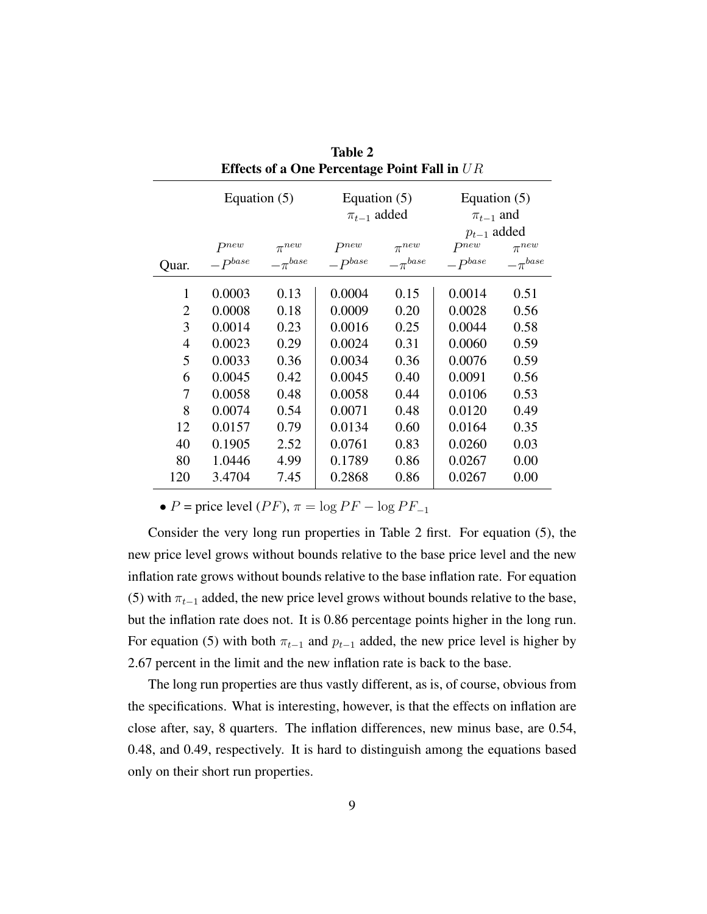|                | Equation $(5)$ |               | Equation $(5)$<br>$\pi_{t-1}$ added |               | Equation $(5)$<br>$\pi_{t-1}$ and |             |  |
|----------------|----------------|---------------|-------------------------------------|---------------|-----------------------------------|-------------|--|
|                |                |               |                                     |               | $p_{t-1}$ added                   |             |  |
|                | $P^{new}$      | $\pi^{new}$   | $P^{new}$                           | $\pi^{new}$   | $P^{new}$                         | $\pi^{new}$ |  |
| Quar.          | $-Pbase$       | $-\pi^{base}$ | $-Pbase$                            | $-\pi^{base}$ | $-Pbase - \pibase$                |             |  |
| $\mathbf{1}$   | 0.0003         | 0.13          | 0.0004                              | 0.15          | 0.0014                            | 0.51        |  |
| $\overline{2}$ | 0.0008         | 0.18          | 0.0009                              | 0.20          | 0.0028                            | 0.56        |  |
| 3              | 0.0014         | 0.23          | 0.0016                              | 0.25          | 0.0044                            | 0.58        |  |
| $\overline{4}$ | 0.0023         | 0.29          | 0.0024                              | 0.31          | 0.0060                            | 0.59        |  |
| 5              | 0.0033         | 0.36          | 0.0034                              | 0.36          | 0.0076                            | 0.59        |  |
| 6              | 0.0045         | 0.42          | 0.0045                              | 0.40          | 0.0091                            | 0.56        |  |
| 7              | 0.0058         | 0.48          | 0.0058                              | 0.44          | 0.0106                            | 0.53        |  |
| 8              | 0.0074         | 0.54          | 0.0071                              | 0.48          | 0.0120                            | 0.49        |  |
| 12             | 0.0157         | 0.79          | 0.0134                              | 0.60          | 0.0164                            | 0.35        |  |
| 40             | 0.1905         | 2.52          | 0.0761                              | 0.83          | 0.0260                            | 0.03        |  |
| 80             | 1.0446         | 4.99          | 0.1789                              | 0.86          | 0.0267                            | 0.00        |  |
| 120            | 3.4704         | 7.45          | 0.2868                              | 0.86          | 0.0267                            | 0.00        |  |
|                |                |               |                                     |               |                                   |             |  |

Table 2 Effects of a One Percentage Point Fall in  $UR$ 

• P = price level  $(PF)$ ,  $\pi = \log PF - \log PF_{-1}$ 

Consider the very long run properties in Table 2 first. For equation (5), the new price level grows without bounds relative to the base price level and the new inflation rate grows without bounds relative to the base inflation rate. For equation (5) with  $\pi_{t-1}$  added, the new price level grows without bounds relative to the base, but the inflation rate does not. It is 0.86 percentage points higher in the long run. For equation (5) with both  $\pi_{t-1}$  and  $p_{t-1}$  added, the new price level is higher by 2.67 percent in the limit and the new inflation rate is back to the base.

The long run properties are thus vastly different, as is, of course, obvious from the specifications. What is interesting, however, is that the effects on inflation are close after, say, 8 quarters. The inflation differences, new minus base, are 0.54, 0.48, and 0.49, respectively. It is hard to distinguish among the equations based only on their short run properties.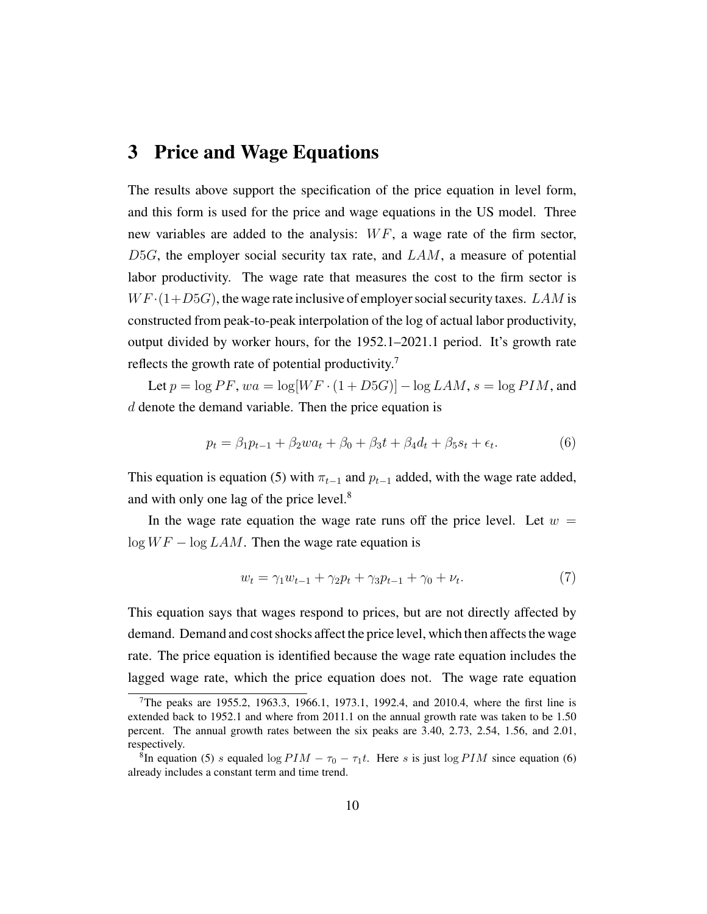#### 3 Price and Wage Equations

The results above support the specification of the price equation in level form, and this form is used for the price and wage equations in the US model. Three new variables are added to the analysis:  $WF$ , a wage rate of the firm sector,  $D5G$ , the employer social security tax rate, and  $LAM$ , a measure of potential labor productivity. The wage rate that measures the cost to the firm sector is  $WF(1+D5G)$ , the wage rate inclusive of employer social security taxes. LAM is constructed from peak-to-peak interpolation of the log of actual labor productivity, output divided by worker hours, for the 1952.1–2021.1 period. It's growth rate reflects the growth rate of potential productivity.<sup>7</sup>

Let  $p = \log PF$ ,  $wa = \log[WF \cdot (1 + D5G)] - \log LAM$ ,  $s = \log PIN$ , and d denote the demand variable. Then the price equation is

$$
p_t = \beta_1 p_{t-1} + \beta_2 w a_t + \beta_0 + \beta_3 t + \beta_4 d_t + \beta_5 s_t + \epsilon_t.
$$
 (6)

This equation is equation (5) with  $\pi_{t-1}$  and  $p_{t-1}$  added, with the wage rate added, and with only one lag of the price level.<sup>8</sup>

In the wage rate equation the wage rate runs off the price level. Let  $w =$  $\log WF - \log LAM$ . Then the wage rate equation is

$$
w_t = \gamma_1 w_{t-1} + \gamma_2 p_t + \gamma_3 p_{t-1} + \gamma_0 + \nu_t. \tag{7}
$$

This equation says that wages respond to prices, but are not directly affected by demand. Demand and cost shocks affect the price level, which then affects the wage rate. The price equation is identified because the wage rate equation includes the lagged wage rate, which the price equation does not. The wage rate equation

<sup>&</sup>lt;sup>7</sup>The peaks are 1955.2, 1963.3, 1966.1, 1973.1, 1992.4, and 2010.4, where the first line is extended back to 1952.1 and where from 2011.1 on the annual growth rate was taken to be 1.50 percent. The annual growth rates between the six peaks are 3.40, 2.73, 2.54, 1.56, and 2.01, respectively.

<sup>&</sup>lt;sup>8</sup>In equation (5) s equaled  $\log P I M - \tau_0 - \tau_1 t$ . Here s is just  $\log P I M$  since equation (6) already includes a constant term and time trend.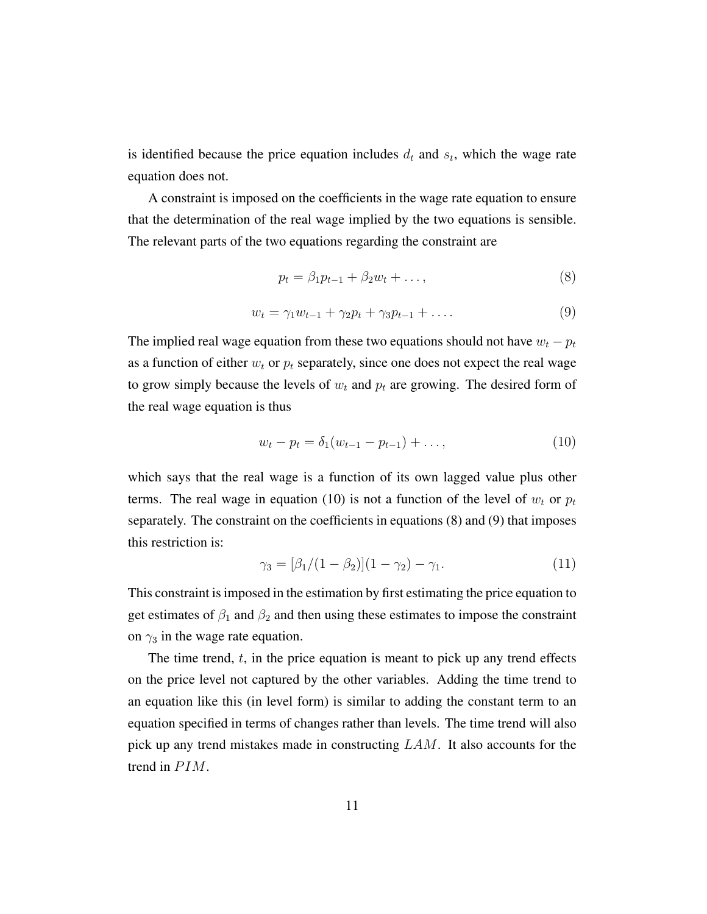is identified because the price equation includes  $d_t$  and  $s_t$ , which the wage rate equation does not.

A constraint is imposed on the coefficients in the wage rate equation to ensure that the determination of the real wage implied by the two equations is sensible. The relevant parts of the two equations regarding the constraint are

$$
p_t = \beta_1 p_{t-1} + \beta_2 w_t + \dots,\tag{8}
$$

$$
w_t = \gamma_1 w_{t-1} + \gamma_2 p_t + \gamma_3 p_{t-1} + \dots
$$
\n(9)

The implied real wage equation from these two equations should not have  $w_t - p_t$ as a function of either  $w_t$  or  $p_t$  separately, since one does not expect the real wage to grow simply because the levels of  $w_t$  and  $p_t$  are growing. The desired form of the real wage equation is thus

$$
w_t - p_t = \delta_1 (w_{t-1} - p_{t-1}) + \dots,\tag{10}
$$

which says that the real wage is a function of its own lagged value plus other terms. The real wage in equation (10) is not a function of the level of  $w_t$  or  $p_t$ separately. The constraint on the coefficients in equations (8) and (9) that imposes this restriction is:

$$
\gamma_3 = [\beta_1/(1 - \beta_2)](1 - \gamma_2) - \gamma_1. \tag{11}
$$

This constraint is imposed in the estimation by first estimating the price equation to get estimates of  $\beta_1$  and  $\beta_2$  and then using these estimates to impose the constraint on  $\gamma_3$  in the wage rate equation.

The time trend,  $t$ , in the price equation is meant to pick up any trend effects on the price level not captured by the other variables. Adding the time trend to an equation like this (in level form) is similar to adding the constant term to an equation specified in terms of changes rather than levels. The time trend will also pick up any trend mistakes made in constructing  $LAM$ . It also accounts for the trend in  $PIM$ .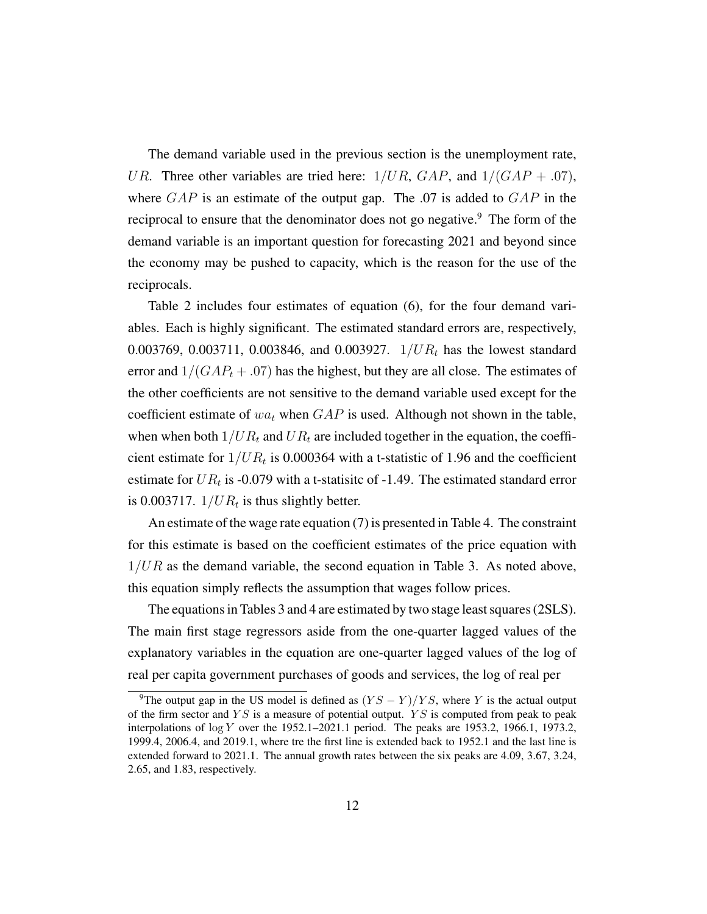The demand variable used in the previous section is the unemployment rate, UR. Three other variables are tried here:  $1/UR$ ,  $GAP$ , and  $1/(GAP + .07)$ , where  $GAP$  is an estimate of the output gap. The .07 is added to  $GAP$  in the reciprocal to ensure that the denominator does not go negative.<sup>9</sup> The form of the demand variable is an important question for forecasting 2021 and beyond since the economy may be pushed to capacity, which is the reason for the use of the reciprocals.

Table 2 includes four estimates of equation (6), for the four demand variables. Each is highly significant. The estimated standard errors are, respectively, 0.003769, 0.003711, 0.003846, and 0.003927.  $1/UR_t$  has the lowest standard error and  $1/(GAP_t + .07)$  has the highest, but they are all close. The estimates of the other coefficients are not sensitive to the demand variable used except for the coefficient estimate of  $wa_t$  when  $GAP$  is used. Although not shown in the table, when when both  $1/UR_t$  and  $UR_t$  are included together in the equation, the coefficient estimate for  $1/UR_t$  is 0.000364 with a t-statistic of 1.96 and the coefficient estimate for  $UR_t$  is -0.079 with a t-statisite of -1.49. The estimated standard error is 0.003717.  $1/UR_t$  is thus slightly better.

An estimate of the wage rate equation (7) is presented in Table 4. The constraint for this estimate is based on the coefficient estimates of the price equation with  $1/UR$  as the demand variable, the second equation in Table 3. As noted above, this equation simply reflects the assumption that wages follow prices.

The equations in Tables 3 and 4 are estimated by two stage least squares (2SLS). The main first stage regressors aside from the one-quarter lagged values of the explanatory variables in the equation are one-quarter lagged values of the log of real per capita government purchases of goods and services, the log of real per

<sup>&</sup>lt;sup>9</sup>The output gap in the US model is defined as  $(YS - Y)/YS$ , where Y is the actual output of the firm sector and  $YS$  is a measure of potential output.  $YS$  is computed from peak to peak interpolations of  $log Y$  over the 1952.1–2021.1 period. The peaks are 1953.2, 1966.1, 1973.2, 1999.4, 2006.4, and 2019.1, where tre the first line is extended back to 1952.1 and the last line is extended forward to 2021.1. The annual growth rates between the six peaks are 4.09, 3.67, 3.24, 2.65, and 1.83, respectively.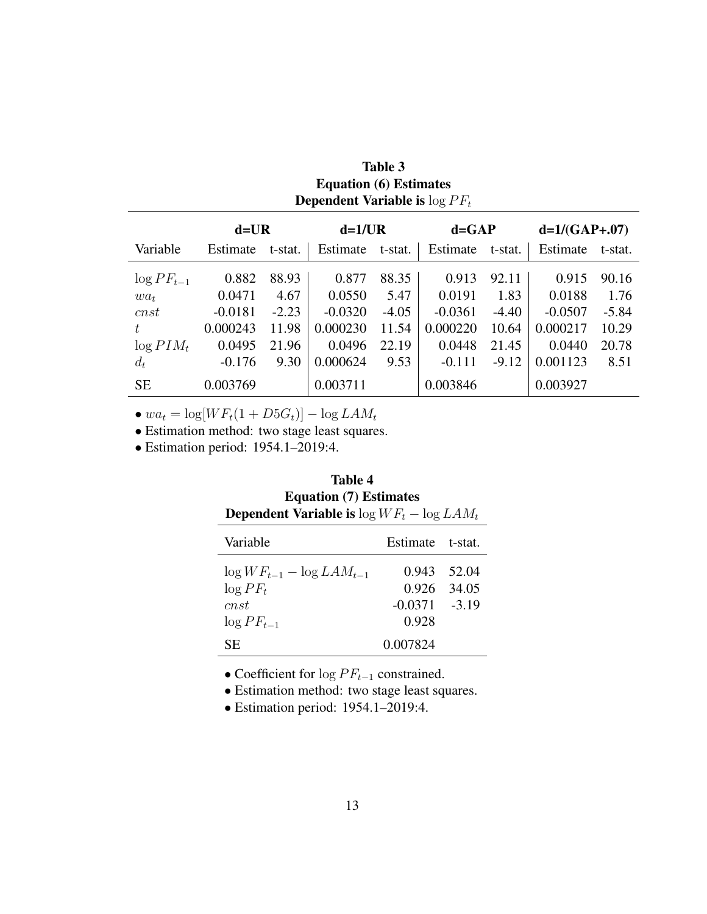| <b>Equation</b> (6) Estimates<br><b>Dependent Variable is </b> $\log PF_t$ |           |         |           |         |           |         |           |         |  |  |
|----------------------------------------------------------------------------|-----------|---------|-----------|---------|-----------|---------|-----------|---------|--|--|
| $d=UR$<br>$d=1/(GAP+.07)$<br>$d=1/UR$<br>$d = GAP$                         |           |         |           |         |           |         |           |         |  |  |
| Variable                                                                   | Estimate  | t-stat. | Estimate  | t-stat. | Estimate  | t-stat. | Estimate  | t-stat. |  |  |
| $\log PF_{t-1}$                                                            | 0.882     | 88.93   | 0.877     | 88.35   | 0.913     | 92.11   | 0.915     | 90.16   |  |  |
| $wa_t$                                                                     | 0.0471    | 4.67    | 0.0550    | 5.47    | 0.0191    | 1.83    | 0.0188    | 1.76    |  |  |
| cnst                                                                       | $-0.0181$ | $-2.23$ | $-0.0320$ | $-4.05$ | $-0.0361$ | $-4.40$ | $-0.0507$ | $-5.84$ |  |  |
| $t_{\cdot}$                                                                | 0.000243  | 11.98   | 0.000230  | 11.54   | 0.000220  | 10.64   | 0.000217  | 10.29   |  |  |
| $\log PIM_t$                                                               | 0.0495    | 21.96   | 0.0496    | 22.19   | 0.0448    | 21.45   | 0.0440    | 20.78   |  |  |
| $d_t$                                                                      | $-0.176$  | 9.30    | 0.000624  | 9.53    | $-0.111$  | $-9.12$ | 0.001123  | 8.51    |  |  |
| <b>SE</b>                                                                  | 0.003769  |         | 0.003711  |         | 0.003846  |         | 0.003927  |         |  |  |

Table  $3$ Equation (6) Estimates

•  $wa_t = \log[WF_t(1 + D5G_t)] - \log LAM_t$ 

• Estimation method: two stage least squares.

• Estimation period: 1954.1–2019:4.

L,

| Table 4                                               |
|-------------------------------------------------------|
| <b>Equation (7) Estimates</b>                         |
| <b>Dependent Variable is</b> $\log WF_t - \log LAM_t$ |

| Variable                                                                   | Estimate t-stat.                                        |  |
|----------------------------------------------------------------------------|---------------------------------------------------------|--|
| $\log WF_{t-1} - \log LAM_{t-1}$<br>$\log PF_t$<br>cnst<br>$\log PF_{t-1}$ | 0.943 52.04<br>0.926 34.05<br>$-0.0371 - 3.19$<br>0.928 |  |
| <b>SE</b>                                                                  | 0.007824                                                |  |

• Coefficient for  $\log PF_{t-1}$  constrained.

• Estimation method: two stage least squares.

• Estimation period: 1954.1–2019:4.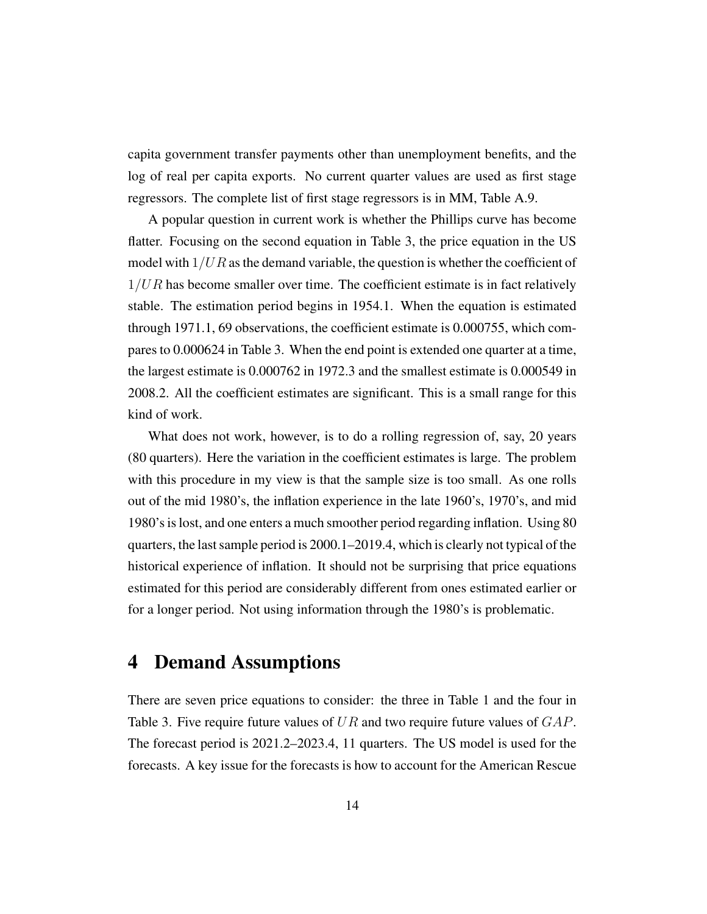capita government transfer payments other than unemployment benefits, and the log of real per capita exports. No current quarter values are used as first stage regressors. The complete list of first stage regressors is in MM, Table A.9.

A popular question in current work is whether the Phillips curve has become flatter. Focusing on the second equation in Table 3, the price equation in the US model with  $1/UR$  as the demand variable, the question is whether the coefficient of  $1/UR$  has become smaller over time. The coefficient estimate is in fact relatively stable. The estimation period begins in 1954.1. When the equation is estimated through 1971.1, 69 observations, the coefficient estimate is 0.000755, which compares to 0.000624 in Table 3. When the end point is extended one quarter at a time, the largest estimate is 0.000762 in 1972.3 and the smallest estimate is 0.000549 in 2008.2. All the coefficient estimates are significant. This is a small range for this kind of work.

What does not work, however, is to do a rolling regression of, say, 20 years (80 quarters). Here the variation in the coefficient estimates is large. The problem with this procedure in my view is that the sample size is too small. As one rolls out of the mid 1980's, the inflation experience in the late 1960's, 1970's, and mid 1980's is lost, and one enters a much smoother period regarding inflation. Using 80 quarters, the last sample period is 2000.1–2019.4, which is clearly not typical of the historical experience of inflation. It should not be surprising that price equations estimated for this period are considerably different from ones estimated earlier or for a longer period. Not using information through the 1980's is problematic.

#### 4 Demand Assumptions

There are seven price equations to consider: the three in Table 1 and the four in Table 3. Five require future values of  $UR$  and two require future values of  $GAP$ . The forecast period is 2021.2–2023.4, 11 quarters. The US model is used for the forecasts. A key issue for the forecasts is how to account for the American Rescue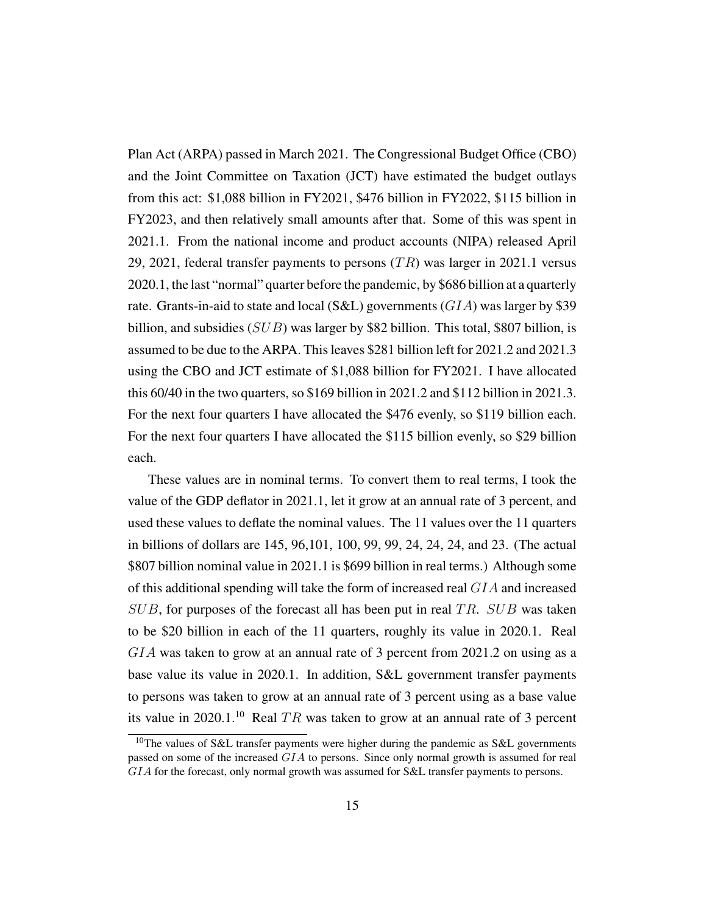Plan Act (ARPA) passed in March 2021. The Congressional Budget Office (CBO) and the Joint Committee on Taxation (JCT) have estimated the budget outlays from this act: \$1,088 billion in FY2021, \$476 billion in FY2022, \$115 billion in FY2023, and then relatively small amounts after that. Some of this was spent in 2021.1. From the national income and product accounts (NIPA) released April 29, 2021, federal transfer payments to persons  $(TR)$  was larger in 2021.1 versus 2020.1, the last "normal" quarter before the pandemic, by \$686 billion at a quarterly rate. Grants-in-aid to state and local (S&L) governments  $(GIA)$  was larger by \$39 billion, and subsidies  $(SUB)$  was larger by \$82 billion. This total, \$807 billion, is assumed to be due to the ARPA. This leaves \$281 billion left for 2021.2 and 2021.3 using the CBO and JCT estimate of \$1,088 billion for FY2021. I have allocated this 60/40 in the two quarters, so \$169 billion in 2021.2 and \$112 billion in 2021.3. For the next four quarters I have allocated the \$476 evenly, so \$119 billion each. For the next four quarters I have allocated the \$115 billion evenly, so \$29 billion each.

These values are in nominal terms. To convert them to real terms, I took the value of the GDP deflator in 2021.1, let it grow at an annual rate of 3 percent, and used these values to deflate the nominal values. The 11 values over the 11 quarters in billions of dollars are 145, 96,101, 100, 99, 99, 24, 24, 24, and 23. (The actual \$807 billion nominal value in 2021.1 is \$699 billion in real terms.) Although some of this additional spending will take the form of increased real  $GIA$  and increased  $SUB$ , for purposes of the forecast all has been put in real TR.  $SUB$  was taken to be \$20 billion in each of the 11 quarters, roughly its value in 2020.1. Real GIA was taken to grow at an annual rate of 3 percent from 2021.2 on using as a base value its value in 2020.1. In addition, S&L government transfer payments to persons was taken to grow at an annual rate of 3 percent using as a base value its value in 2020.1.<sup>10</sup> Real TR was taken to grow at an annual rate of 3 percent

<sup>&</sup>lt;sup>10</sup>The values of S&L transfer payments were higher during the pandemic as S&L governments passed on some of the increased GIA to persons. Since only normal growth is assumed for real GIA for the forecast, only normal growth was assumed for S&L transfer payments to persons.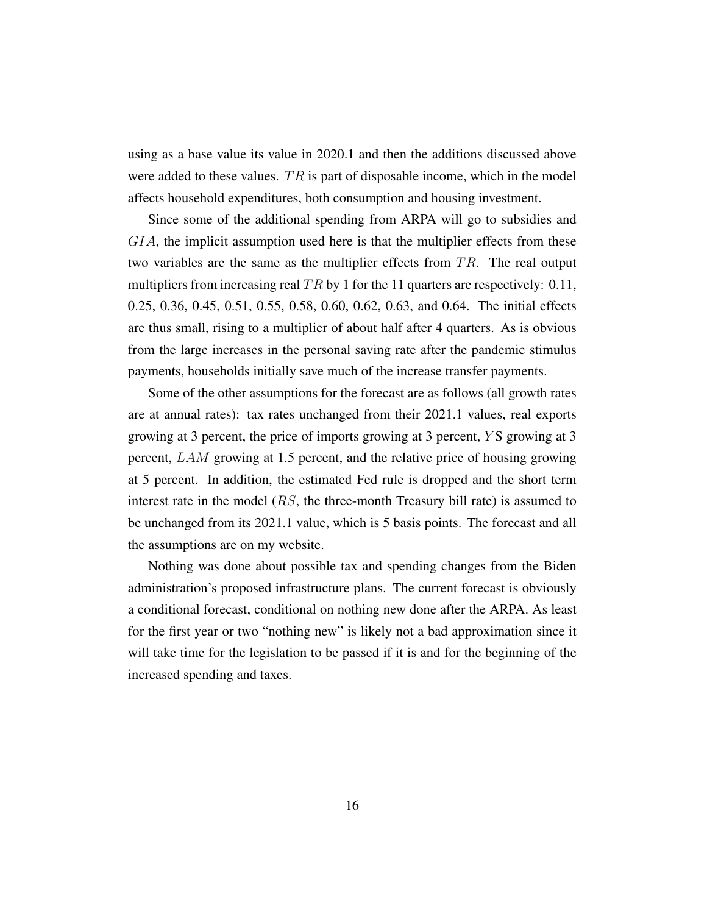using as a base value its value in 2020.1 and then the additions discussed above were added to these values.  $TR$  is part of disposable income, which in the model affects household expenditures, both consumption and housing investment.

Since some of the additional spending from ARPA will go to subsidies and GIA, the implicit assumption used here is that the multiplier effects from these two variables are the same as the multiplier effects from  $TR$ . The real output multipliers from increasing real  $TR$  by 1 for the 11 quarters are respectively: 0.11, 0.25, 0.36, 0.45, 0.51, 0.55, 0.58, 0.60, 0.62, 0.63, and 0.64. The initial effects are thus small, rising to a multiplier of about half after 4 quarters. As is obvious from the large increases in the personal saving rate after the pandemic stimulus payments, households initially save much of the increase transfer payments.

Some of the other assumptions for the forecast are as follows (all growth rates are at annual rates): tax rates unchanged from their 2021.1 values, real exports growing at 3 percent, the price of imports growing at 3 percent,  $\overline{Y}S$  growing at 3 percent, LAM growing at 1.5 percent, and the relative price of housing growing at 5 percent. In addition, the estimated Fed rule is dropped and the short term interest rate in the model  $(RS)$ , the three-month Treasury bill rate) is assumed to be unchanged from its 2021.1 value, which is 5 basis points. The forecast and all the assumptions are on my website.

Nothing was done about possible tax and spending changes from the Biden administration's proposed infrastructure plans. The current forecast is obviously a conditional forecast, conditional on nothing new done after the ARPA. As least for the first year or two "nothing new" is likely not a bad approximation since it will take time for the legislation to be passed if it is and for the beginning of the increased spending and taxes.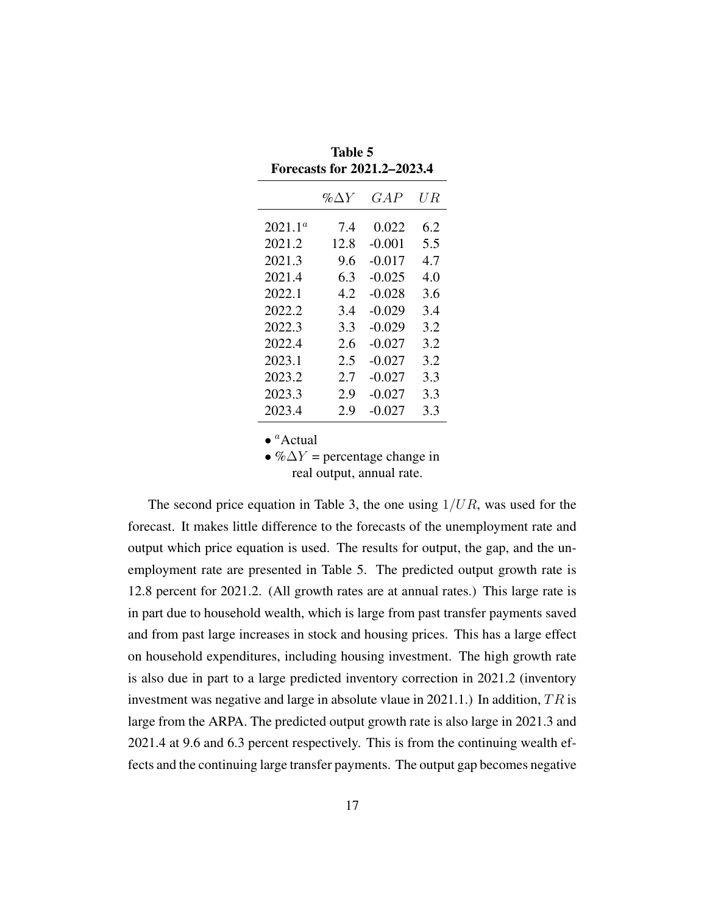| Forecasts for 2021.2–2023.4 |              |          |     |  |  |  |  |  |
|-----------------------------|--------------|----------|-----|--|--|--|--|--|
|                             | $\%\Delta Y$ | GAP      | UΒ  |  |  |  |  |  |
| $2021.1^a$                  | 7.4          | 0.022    | 6.2 |  |  |  |  |  |
| 2021.2                      | 12.8         | $-0.001$ | 5.5 |  |  |  |  |  |
| 2021.3                      | 9.6          | $-0.017$ | 4.7 |  |  |  |  |  |
| 2021.4                      | 6.3          | $-0.025$ | 4.0 |  |  |  |  |  |
| 2022.1                      | 4.2          | $-0.028$ | 3.6 |  |  |  |  |  |
| 2022.2                      | 3.4          | $-0.029$ | 3.4 |  |  |  |  |  |
| 2022.3                      | 3.3          | $-0.029$ | 3.2 |  |  |  |  |  |
| 2022.4                      | 2.6          | $-0.027$ | 3.2 |  |  |  |  |  |
| 2023.1                      | 2.5          | $-0.027$ | 3.2 |  |  |  |  |  |
| 2023.2                      | 2.7          | $-0.027$ | 3.3 |  |  |  |  |  |
| 2023.3                      | 2.9          | $-0.027$ | 3.3 |  |  |  |  |  |
| 2023.4                      | 2.9          | $-0.027$ | 3.3 |  |  |  |  |  |
|                             |              |          |     |  |  |  |  |  |

Table 5

 $\bullet$  <sup>*a*</sup>Actual

•  $% \Delta Y$  = percentage change in real output, annual rate.

The second price equation in Table 3, the one using  $1/UR$ , was used for the forecast. It makes little difference to the forecasts of the unemployment rate and output which price equation is used. The results for output, the gap, and the unemployment rate are presented in Table 5. The predicted output growth rate is 12.8 percent for 2021.2. (All growth rates are at annual rates.) This large rate is in part due to household wealth, which is large from past transfer payments saved and from past large increases in stock and housing prices. This has a large effect on household expenditures, including housing investment. The high growth rate is also due in part to a large predicted inventory correction in 2021.2 (inventory investment was negative and large in absolute vlaue in 2021.1.) In addition,  $TR$  is large from the ARPA. The predicted output growth rate is also large in 2021.3 and 2021.4 at 9.6 and 6.3 percent respectively. This is from the continuing wealth effects and the continuing large transfer payments. The output gap becomes negative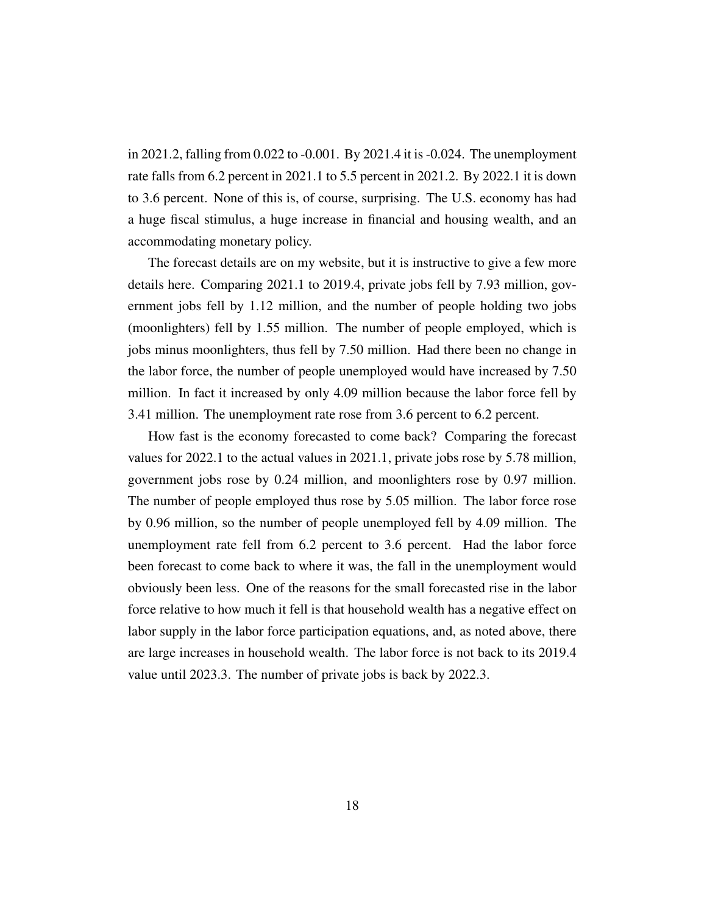in 2021.2, falling from 0.022 to -0.001. By 2021.4 it is -0.024. The unemployment rate falls from 6.2 percent in 2021.1 to 5.5 percent in 2021.2. By 2022.1 it is down to 3.6 percent. None of this is, of course, surprising. The U.S. economy has had a huge fiscal stimulus, a huge increase in financial and housing wealth, and an accommodating monetary policy.

The forecast details are on my website, but it is instructive to give a few more details here. Comparing 2021.1 to 2019.4, private jobs fell by 7.93 million, government jobs fell by 1.12 million, and the number of people holding two jobs (moonlighters) fell by 1.55 million. The number of people employed, which is jobs minus moonlighters, thus fell by 7.50 million. Had there been no change in the labor force, the number of people unemployed would have increased by 7.50 million. In fact it increased by only 4.09 million because the labor force fell by 3.41 million. The unemployment rate rose from 3.6 percent to 6.2 percent.

How fast is the economy forecasted to come back? Comparing the forecast values for 2022.1 to the actual values in 2021.1, private jobs rose by 5.78 million, government jobs rose by 0.24 million, and moonlighters rose by 0.97 million. The number of people employed thus rose by 5.05 million. The labor force rose by 0.96 million, so the number of people unemployed fell by 4.09 million. The unemployment rate fell from 6.2 percent to 3.6 percent. Had the labor force been forecast to come back to where it was, the fall in the unemployment would obviously been less. One of the reasons for the small forecasted rise in the labor force relative to how much it fell is that household wealth has a negative effect on labor supply in the labor force participation equations, and, as noted above, there are large increases in household wealth. The labor force is not back to its 2019.4 value until 2023.3. The number of private jobs is back by 2022.3.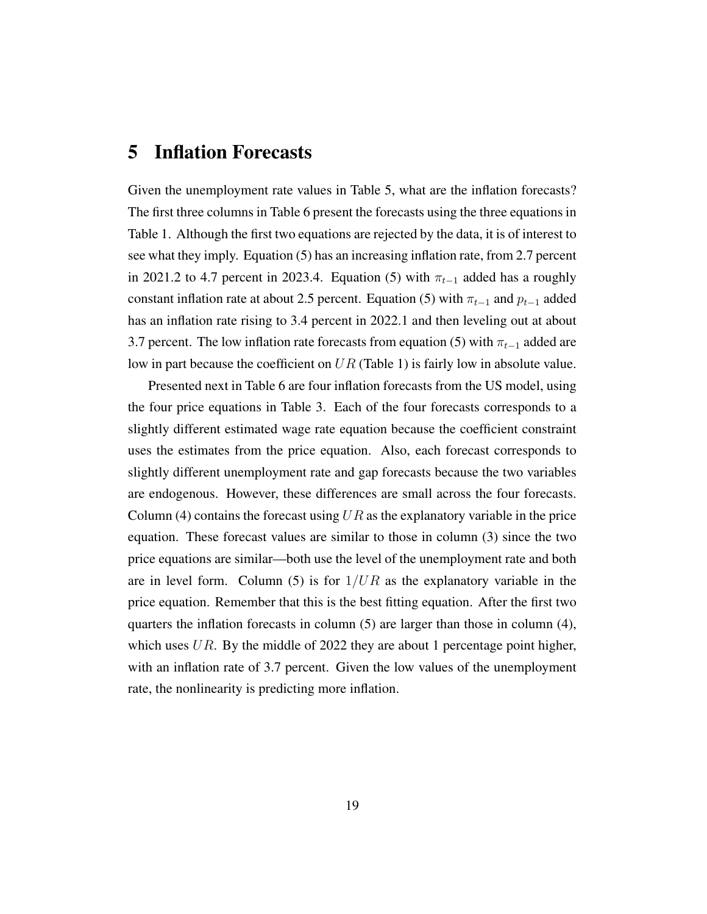#### 5 Inflation Forecasts

Given the unemployment rate values in Table 5, what are the inflation forecasts? The first three columns in Table 6 present the forecasts using the three equations in Table 1. Although the first two equations are rejected by the data, it is of interest to see what they imply. Equation (5) has an increasing inflation rate, from 2.7 percent in 2021.2 to 4.7 percent in 2023.4. Equation (5) with  $\pi_{t-1}$  added has a roughly constant inflation rate at about 2.5 percent. Equation (5) with  $\pi_{t-1}$  and  $p_{t-1}$  added has an inflation rate rising to 3.4 percent in 2022.1 and then leveling out at about 3.7 percent. The low inflation rate forecasts from equation (5) with  $\pi_{t-1}$  added are low in part because the coefficient on  $UR$  (Table 1) is fairly low in absolute value.

Presented next in Table 6 are four inflation forecasts from the US model, using the four price equations in Table 3. Each of the four forecasts corresponds to a slightly different estimated wage rate equation because the coefficient constraint uses the estimates from the price equation. Also, each forecast corresponds to slightly different unemployment rate and gap forecasts because the two variables are endogenous. However, these differences are small across the four forecasts. Column (4) contains the forecast using  $UR$  as the explanatory variable in the price equation. These forecast values are similar to those in column (3) since the two price equations are similar—both use the level of the unemployment rate and both are in level form. Column (5) is for  $1/UR$  as the explanatory variable in the price equation. Remember that this is the best fitting equation. After the first two quarters the inflation forecasts in column (5) are larger than those in column (4), which uses  $UR$ . By the middle of 2022 they are about 1 percentage point higher, with an inflation rate of 3.7 percent. Given the low values of the unemployment rate, the nonlinearity is predicting more inflation.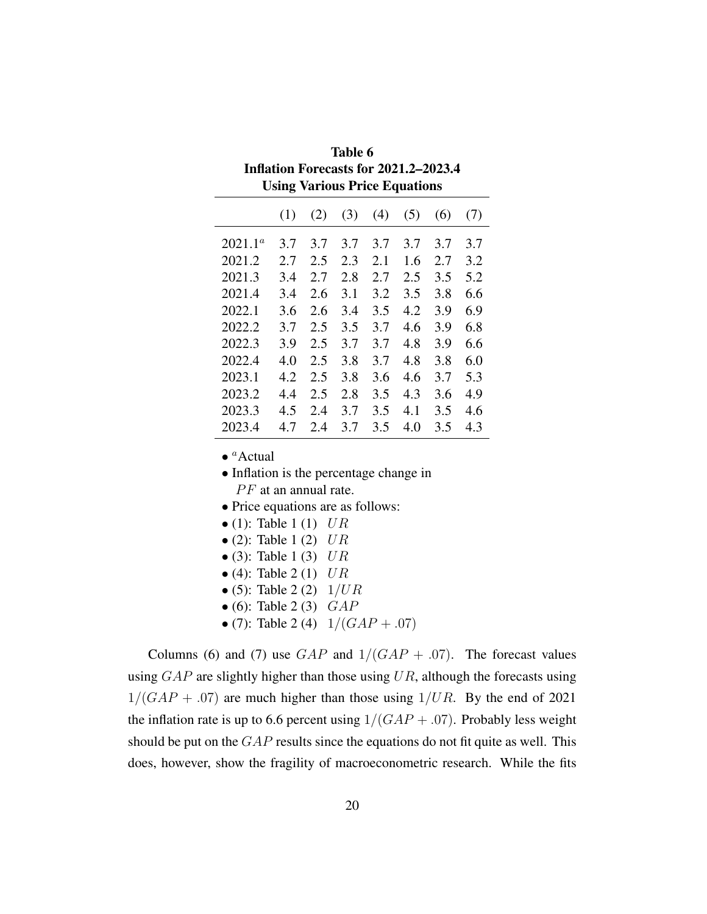| Table 6                               |  |  |  |  |  |  |
|---------------------------------------|--|--|--|--|--|--|
| Inflation Forecasts for 2021.2–2023.4 |  |  |  |  |  |  |
| <b>Using Various Price Equations</b>  |  |  |  |  |  |  |

|            | (1) | (2) | (3) | (4) | (5) | (6) | (7) |
|------------|-----|-----|-----|-----|-----|-----|-----|
| $2021.1^a$ | 3.7 | 3.7 | 3.7 | 3.7 | 3.7 | 3.7 | 3.7 |
| 2021.2     | 2.7 | 2.5 | 2.3 | 2.1 | 1.6 | 2.7 | 3.2 |
| 2021.3     | 3.4 | 2.7 | 2.8 | 2.7 | 2.5 | 3.5 | 5.2 |
| 2021.4     | 3.4 | 2.6 | 3.1 | 3.2 | 3.5 | 3.8 | 6.6 |
| 2022.1     | 3.6 | 2.6 | 3.4 | 3.5 | 4.2 | 3.9 | 6.9 |
| 2022.2     | 3.7 | 2.5 | 3.5 | 3.7 | 4.6 | 3.9 | 6.8 |
| 2022.3     | 3.9 | 2.5 | 3.7 | 3.7 | 4.8 | 3.9 | 6.6 |
| 2022.4     | 4.0 | 2.5 | 3.8 | 3.7 | 4.8 | 3.8 | 6.0 |
| 2023.1     | 4.2 | 2.5 | 3.8 | 3.6 | 4.6 | 3.7 | 5.3 |
| 2023.2     | 4.4 | 2.5 | 2.8 | 3.5 | 4.3 | 3.6 | 4.9 |
| 2023.3     | 4.5 | 2.4 | 3.7 | 3.5 | 4.1 | 3.5 | 4.6 |
| 2023.4     | 4.7 | 2.4 | 3.7 | 3.5 | 4.0 | 3.5 | 4.3 |

 $\bullet$  <sup>*a*</sup>Actual

• Inflation is the percentage change in  $PF$  at an annual rate.

- Price equations are as follows:
- (1): Table 1 (1)  $UR$
- (2): Table 1 (2)  $UR$
- (3): Table 1 (3)  $UR$
- (4): Table 2 (1)  $UR$
- (5): Table 2 (2)  $1/UR$
- $\bullet$  (6): Table 2 (3) GAP
- (7): Table 2 (4)  $1/(GAP + .07)$

Columns (6) and (7) use  $GAP$  and  $1/(GAP + .07)$ . The forecast values using  $GAP$  are slightly higher than those using  $UR$ , although the forecasts using  $1/(GAP + .07)$  are much higher than those using  $1/UR$ . By the end of 2021 the inflation rate is up to 6.6 percent using  $1/(GAP + .07)$ . Probably less weight should be put on the  $GAP$  results since the equations do not fit quite as well. This does, however, show the fragility of macroeconometric research. While the fits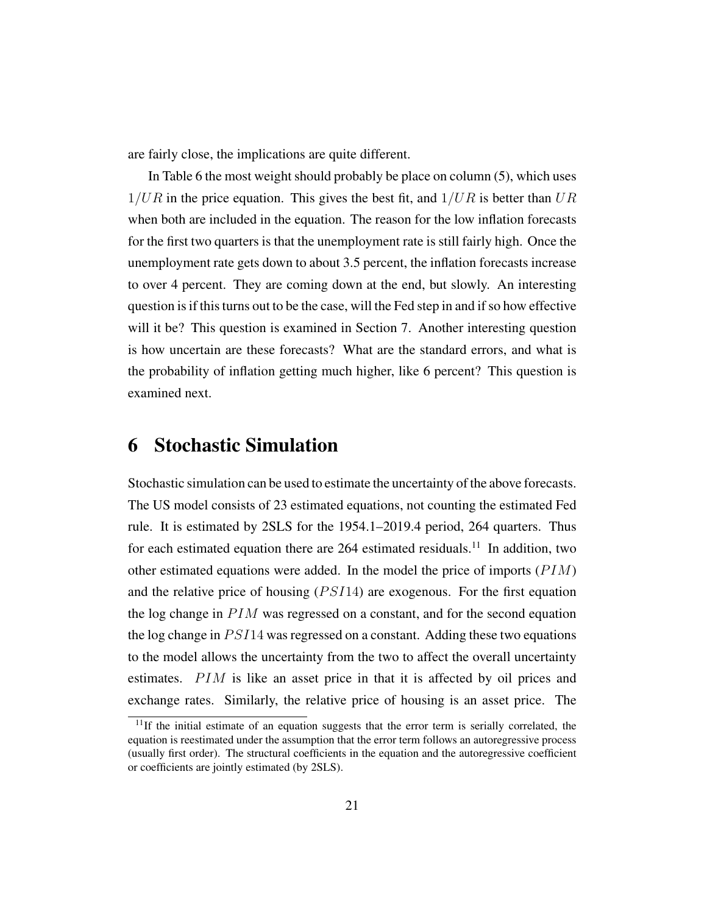are fairly close, the implications are quite different.

In Table 6 the most weight should probably be place on column (5), which uses  $1/UR$  in the price equation. This gives the best fit, and  $1/UR$  is better than UR when both are included in the equation. The reason for the low inflation forecasts for the first two quarters is that the unemployment rate is still fairly high. Once the unemployment rate gets down to about 3.5 percent, the inflation forecasts increase to over 4 percent. They are coming down at the end, but slowly. An interesting question is if this turns out to be the case, will the Fed step in and if so how effective will it be? This question is examined in Section 7. Another interesting question is how uncertain are these forecasts? What are the standard errors, and what is the probability of inflation getting much higher, like 6 percent? This question is examined next.

#### 6 Stochastic Simulation

Stochastic simulation can be used to estimate the uncertainty of the above forecasts. The US model consists of 23 estimated equations, not counting the estimated Fed rule. It is estimated by 2SLS for the 1954.1–2019.4 period, 264 quarters. Thus for each estimated equation there are  $264$  estimated residuals.<sup>11</sup> In addition, two other estimated equations were added. In the model the price of imports  $(PIM)$ and the relative price of housing  $(PSI14)$  are exogenous. For the first equation the log change in  $PIM$  was regressed on a constant, and for the second equation the log change in  $PSI14$  was regressed on a constant. Adding these two equations to the model allows the uncertainty from the two to affect the overall uncertainty estimates.  $PIM$  is like an asset price in that it is affected by oil prices and exchange rates. Similarly, the relative price of housing is an asset price. The

<sup>&</sup>lt;sup>11</sup>If the initial estimate of an equation suggests that the error term is serially correlated, the equation is reestimated under the assumption that the error term follows an autoregressive process (usually first order). The structural coefficients in the equation and the autoregressive coefficient or coefficients are jointly estimated (by 2SLS).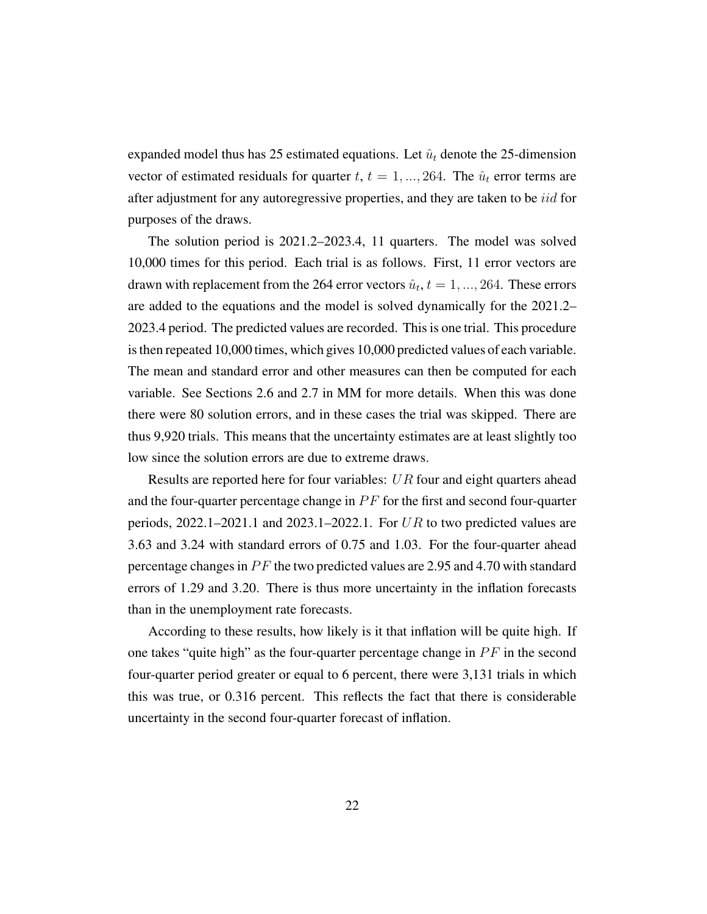expanded model thus has 25 estimated equations. Let  $\hat{u}_t$  denote the 25-dimension vector of estimated residuals for quarter t,  $t = 1, ..., 264$ . The  $\hat{u}_t$  error terms are after adjustment for any autoregressive properties, and they are taken to be *iid* for purposes of the draws.

The solution period is 2021.2–2023.4, 11 quarters. The model was solved 10,000 times for this period. Each trial is as follows. First, 11 error vectors are drawn with replacement from the 264 error vectors  $\hat{u}_t$ ,  $t = 1, ..., 264$ . These errors are added to the equations and the model is solved dynamically for the 2021.2– 2023.4 period. The predicted values are recorded. This is one trial. This procedure is then repeated 10,000 times, which gives 10,000 predicted values of each variable. The mean and standard error and other measures can then be computed for each variable. See Sections 2.6 and 2.7 in MM for more details. When this was done there were 80 solution errors, and in these cases the trial was skipped. There are thus 9,920 trials. This means that the uncertainty estimates are at least slightly too low since the solution errors are due to extreme draws.

Results are reported here for four variables: UR four and eight quarters ahead and the four-quarter percentage change in  $PF$  for the first and second four-quarter periods,  $2022.1-2021.1$  and  $2023.1-2022.1$ . For UR to two predicted values are 3.63 and 3.24 with standard errors of 0.75 and 1.03. For the four-quarter ahead percentage changes in  $PF$  the two predicted values are 2.95 and 4.70 with standard errors of 1.29 and 3.20. There is thus more uncertainty in the inflation forecasts than in the unemployment rate forecasts.

According to these results, how likely is it that inflation will be quite high. If one takes "quite high" as the four-quarter percentage change in  $PF$  in the second four-quarter period greater or equal to 6 percent, there were 3,131 trials in which this was true, or 0.316 percent. This reflects the fact that there is considerable uncertainty in the second four-quarter forecast of inflation.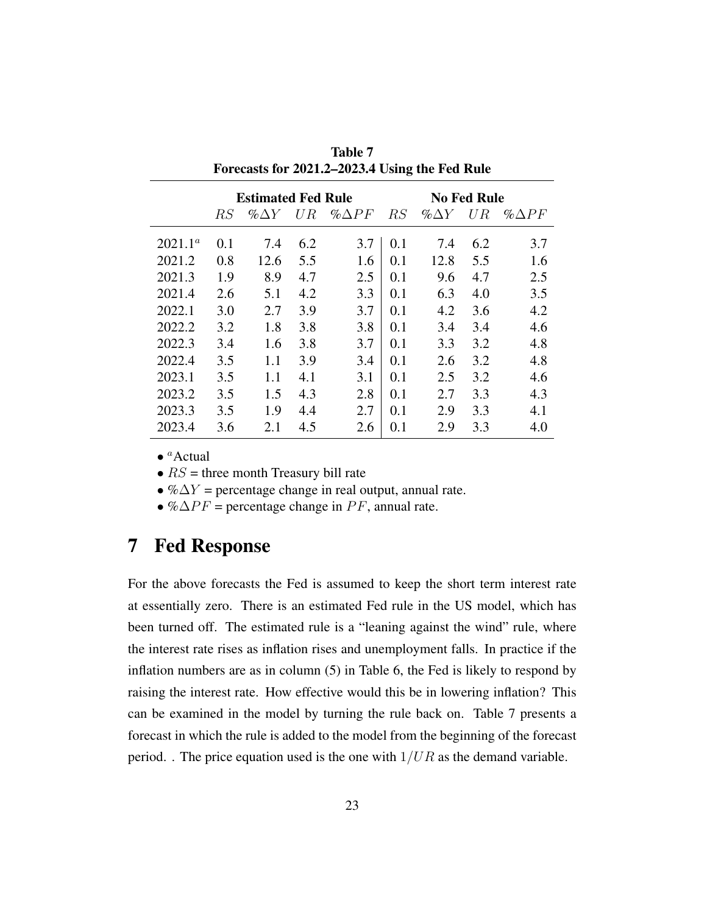| PULCONS IOI 2021.2-2023.7 USING THE PER KUIC |                           |              |     |               |     |                    |     |               |  |
|----------------------------------------------|---------------------------|--------------|-----|---------------|-----|--------------------|-----|---------------|--|
|                                              | <b>Estimated Fed Rule</b> |              |     |               |     | <b>No Fed Rule</b> |     |               |  |
|                                              | RS                        | % $\Delta Y$ | UR  | $% \Delta PF$ | RS  | % $\Delta Y$       | UR  | % $\Delta PF$ |  |
| $2021.1^a$                                   | 0.1                       | 7.4          | 6.2 | 3.7           | 0.1 | 7.4                | 6.2 | 3.7           |  |
| 2021.2                                       | 0.8                       | 12.6         | 5.5 | 1.6           | 0.1 | 12.8               | 5.5 | 1.6           |  |
| 2021.3                                       | 1.9                       | 8.9          | 4.7 | 2.5           | 0.1 | 9.6                | 4.7 | 2.5           |  |
| 2021.4                                       | 2.6                       | 5.1          | 4.2 | 3.3           | 0.1 | 6.3                | 4.0 | 3.5           |  |
| 2022.1                                       | 3.0                       | 2.7          | 3.9 | 3.7           | 0.1 | 4.2                | 3.6 | 4.2           |  |
| 2022.2                                       | 3.2                       | 1.8          | 3.8 | 3.8           | 0.1 | 3.4                | 3.4 | 4.6           |  |
| 2022.3                                       | 3.4                       | 1.6          | 3.8 | 3.7           | 0.1 | 3.3                | 3.2 | 4.8           |  |
| 2022.4                                       | 3.5                       | 1.1          | 3.9 | 3.4           | 0.1 | 2.6                | 3.2 | 4.8           |  |
| 2023.1                                       | 3.5                       | 1.1          | 4.1 | 3.1           | 0.1 | 2.5                | 3.2 | 4.6           |  |
| 2023.2                                       | 3.5                       | 1.5          | 4.3 | 2.8           | 0.1 | 2.7                | 3.3 | 4.3           |  |
| 2023.3                                       | 3.5                       | 1.9          | 4.4 | 2.7           | 0.1 | 2.9                | 3.3 | 4.1           |  |
| 2023.4                                       | 3.6                       | 2.1          | 4.5 | 2.6           | 0.1 | 2.9                | 3.3 | 4.0           |  |

Table 7 Forecasts for 2021.2–2023.4 Using the Fed Rule

 $\bullet$  <sup>*a*</sup>Actual

•  $RS =$  three month Treasury bill rate

•  $\% \Delta Y$  = percentage change in real output, annual rate.

• % $\Delta PF$  = percentage change in PF, annual rate.

## 7 Fed Response

For the above forecasts the Fed is assumed to keep the short term interest rate at essentially zero. There is an estimated Fed rule in the US model, which has been turned off. The estimated rule is a "leaning against the wind" rule, where the interest rate rises as inflation rises and unemployment falls. In practice if the inflation numbers are as in column (5) in Table 6, the Fed is likely to respond by raising the interest rate. How effective would this be in lowering inflation? This can be examined in the model by turning the rule back on. Table 7 presents a forecast in which the rule is added to the model from the beginning of the forecast period. . The price equation used is the one with  $1/UR$  as the demand variable.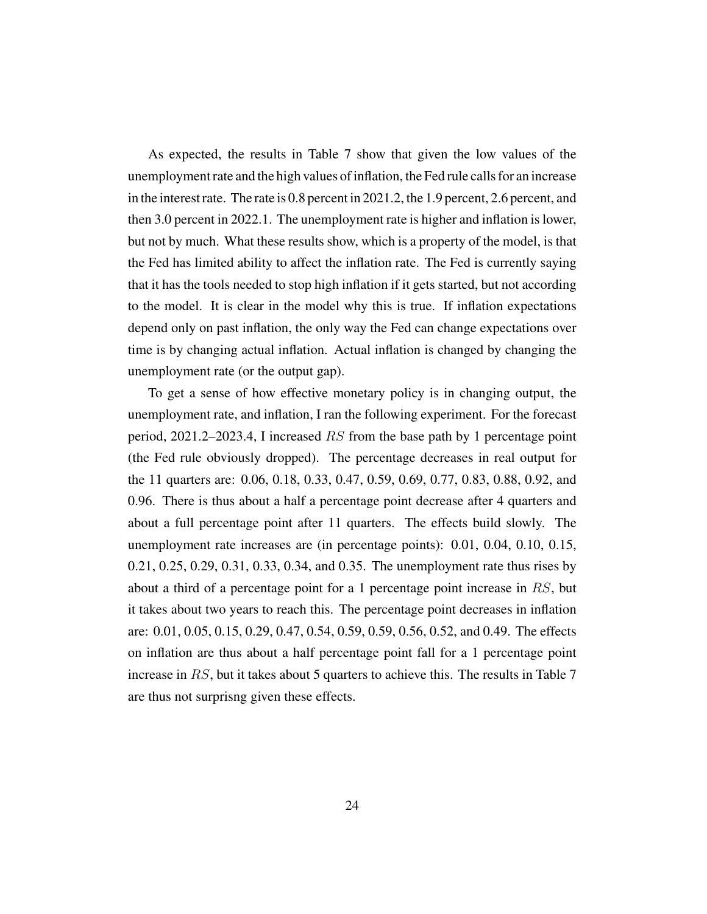As expected, the results in Table 7 show that given the low values of the unemployment rate and the high values of inflation, the Fed rule calls for an increase in the interest rate. The rate is 0.8 percent in 2021.2, the 1.9 percent, 2.6 percent, and then 3.0 percent in 2022.1. The unemployment rate is higher and inflation is lower, but not by much. What these results show, which is a property of the model, is that the Fed has limited ability to affect the inflation rate. The Fed is currently saying that it has the tools needed to stop high inflation if it gets started, but not according to the model. It is clear in the model why this is true. If inflation expectations depend only on past inflation, the only way the Fed can change expectations over time is by changing actual inflation. Actual inflation is changed by changing the unemployment rate (or the output gap).

To get a sense of how effective monetary policy is in changing output, the unemployment rate, and inflation, I ran the following experiment. For the forecast period, 2021.2–2023.4, I increased RS from the base path by 1 percentage point (the Fed rule obviously dropped). The percentage decreases in real output for the 11 quarters are: 0.06, 0.18, 0.33, 0.47, 0.59, 0.69, 0.77, 0.83, 0.88, 0.92, and 0.96. There is thus about a half a percentage point decrease after 4 quarters and about a full percentage point after 11 quarters. The effects build slowly. The unemployment rate increases are (in percentage points): 0.01, 0.04, 0.10, 0.15, 0.21, 0.25, 0.29, 0.31, 0.33, 0.34, and 0.35. The unemployment rate thus rises by about a third of a percentage point for a 1 percentage point increase in RS, but it takes about two years to reach this. The percentage point decreases in inflation are: 0.01, 0.05, 0.15, 0.29, 0.47, 0.54, 0.59, 0.59, 0.56, 0.52, and 0.49. The effects on inflation are thus about a half percentage point fall for a 1 percentage point increase in RS, but it takes about 5 quarters to achieve this. The results in Table 7 are thus not surprisng given these effects.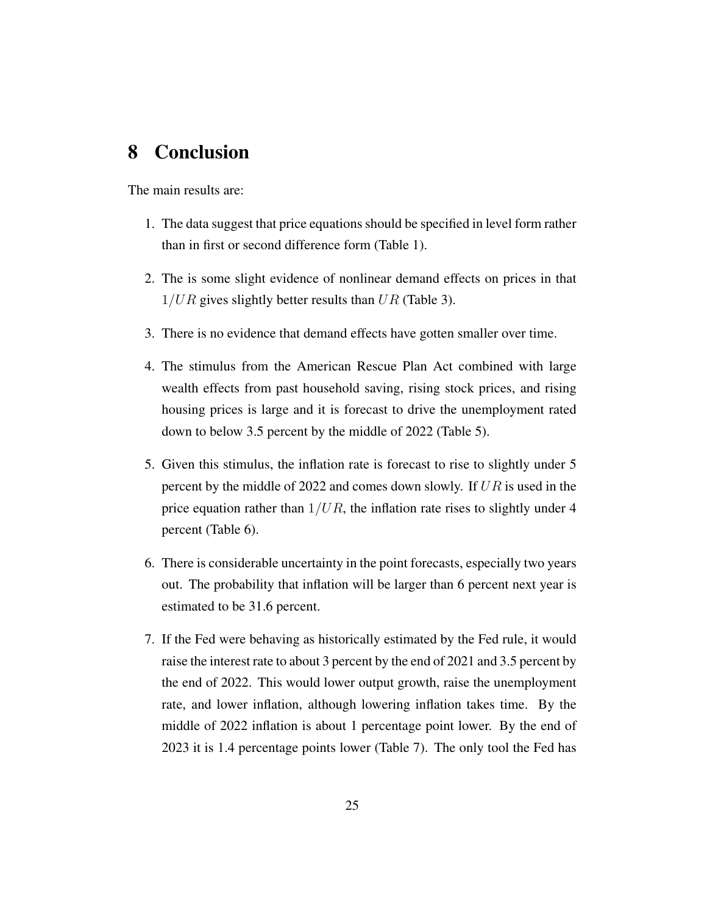# 8 Conclusion

The main results are:

- 1. The data suggest that price equations should be specified in level form rather than in first or second difference form (Table 1).
- 2. The is some slight evidence of nonlinear demand effects on prices in that  $1/UR$  gives slightly better results than UR (Table 3).
- 3. There is no evidence that demand effects have gotten smaller over time.
- 4. The stimulus from the American Rescue Plan Act combined with large wealth effects from past household saving, rising stock prices, and rising housing prices is large and it is forecast to drive the unemployment rated down to below 3.5 percent by the middle of 2022 (Table 5).
- 5. Given this stimulus, the inflation rate is forecast to rise to slightly under 5 percent by the middle of 2022 and comes down slowly. If  $UR$  is used in the price equation rather than  $1/UR$ , the inflation rate rises to slightly under 4 percent (Table 6).
- 6. There is considerable uncertainty in the point forecasts, especially two years out. The probability that inflation will be larger than 6 percent next year is estimated to be 31.6 percent.
- 7. If the Fed were behaving as historically estimated by the Fed rule, it would raise the interest rate to about 3 percent by the end of 2021 and 3.5 percent by the end of 2022. This would lower output growth, raise the unemployment rate, and lower inflation, although lowering inflation takes time. By the middle of 2022 inflation is about 1 percentage point lower. By the end of 2023 it is 1.4 percentage points lower (Table 7). The only tool the Fed has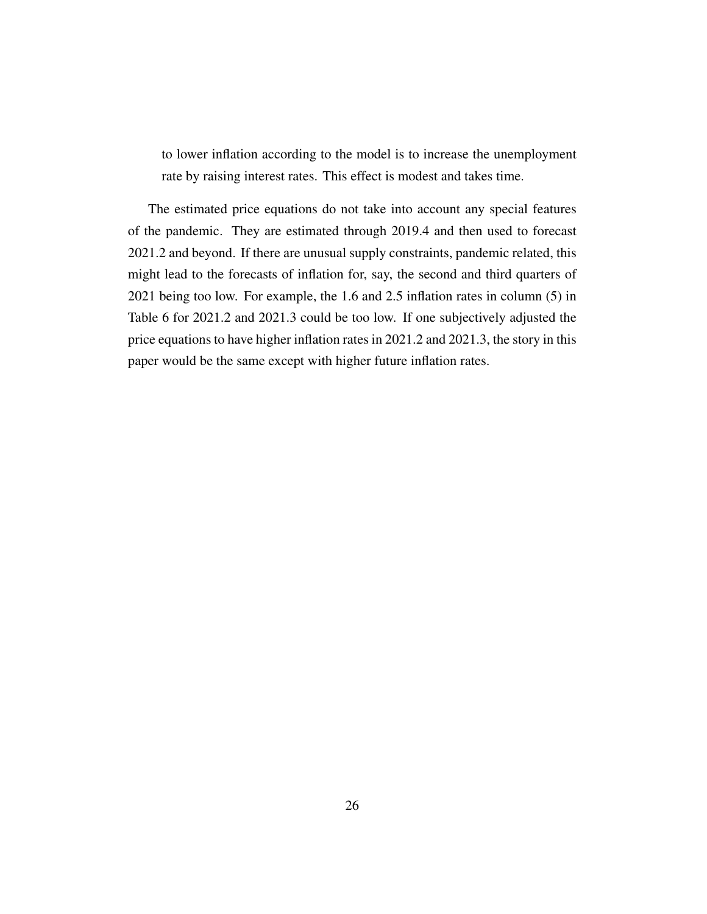to lower inflation according to the model is to increase the unemployment rate by raising interest rates. This effect is modest and takes time.

The estimated price equations do not take into account any special features of the pandemic. They are estimated through 2019.4 and then used to forecast 2021.2 and beyond. If there are unusual supply constraints, pandemic related, this might lead to the forecasts of inflation for, say, the second and third quarters of 2021 being too low. For example, the 1.6 and 2.5 inflation rates in column (5) in Table 6 for 2021.2 and 2021.3 could be too low. If one subjectively adjusted the price equations to have higher inflation rates in 2021.2 and 2021.3, the story in this paper would be the same except with higher future inflation rates.